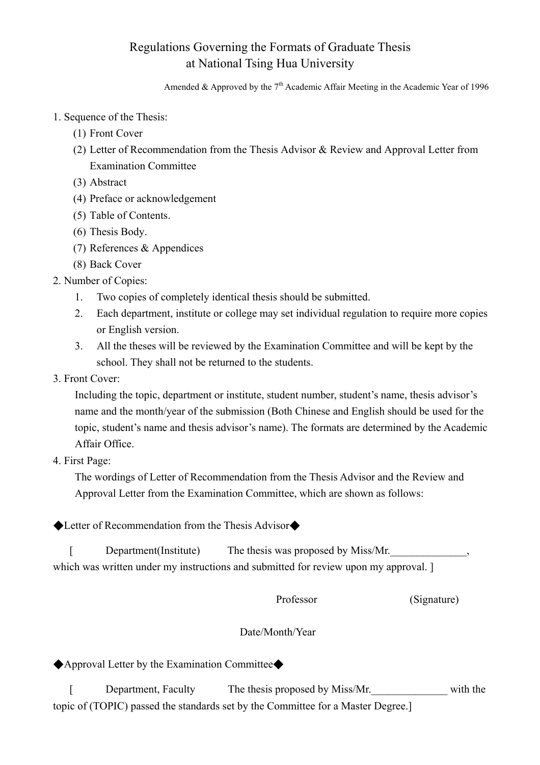## Regulations Governing the Formats of Graduate Thesis at National Tsing Hua University

Amended & Approved by the  $7<sup>th</sup>$  Academic Affair Meeting in the Academic Year of 1996

- 1. Sequence of the Thesis:
	- (1) Front Cover
	- (2) Letter of Recommendation from the Thesis Advisor & Review and Approval Letter from Examination Committee
	- (3) Abstract
	- (4) Preface or acknowledgement
	- (5) Table of Contents.
	- (6) Thesis Body.
	- (7) References & Appendices
	- (8) Back Cover
- 2. Number of Copies:
	- 1. Two copies of completely identical thesis should be submitted.
	- 2. Each department, institute or college may set individual regulation to require more copies or English version.
	- 3. All the theses will be reviewed by the Examination Committee and will be kept by the school. They shall not be returned to the students.
- 3. Front Cover:

Including the topic, department or institute, student number, student's name, thesis advisor's name and the month/year of the submission (Both Chinese and English should be used for the topic, student's name and thesis advisor's name). The formats are determined by the Academic Affair Office.

4. First Page:

The wordings of Letter of Recommendation from the Thesis Advisor and the Review and Approval Letter from the Examination Committee, which are shown as follows:

◆Letter of Recommendation from the Thesis Advisor◆

[ Department(Institute) The thesis was proposed by Miss/Mr. which was written under my instructions and submitted for review upon my approval.  $\vert$ 

Professor (Signature)

## Date/Month/Year

◆Approval Letter by the Examination Committee◆

[ Department, Faculty The thesis proposed by Miss/Mr. with the topic of (TOPIC) passed the standards set by the Committee for a Master Degree.]